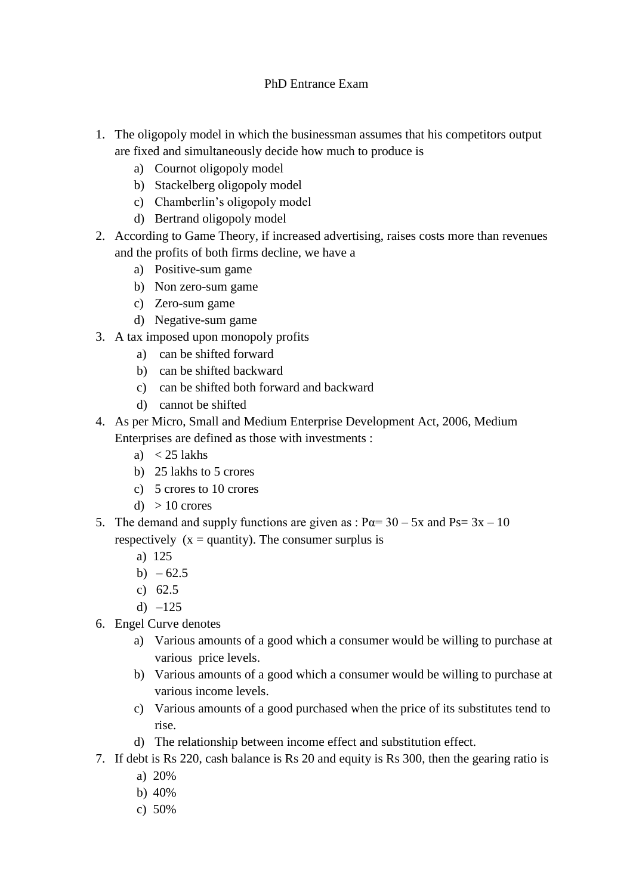## PhD Entrance Exam

- 1. The oligopoly model in which the businessman assumes that his competitors output are fixed and simultaneously decide how much to produce is
	- a) Cournot oligopoly model
	- b) Stackelberg oligopoly model
	- c) Chamberlin's oligopoly model
	- d) Bertrand oligopoly model
- 2. According to Game Theory, if increased advertising, raises costs more than revenues and the profits of both firms decline, we have a
	- a) Positive-sum game
	- b) Non zero-sum game
	- c) Zero-sum game
	- d) Negative-sum game
- 3. A tax imposed upon monopoly profits
	- a) can be shifted forward
	- b) can be shifted backward
	- c) can be shifted both forward and backward
	- d) cannot be shifted
- 4. As per Micro, Small and Medium Enterprise Development Act, 2006, Medium Enterprises are defined as those with investments :
	- a)  $<$  25 lakhs
	- b) 25 lakhs to 5 crores
	- c) 5 crores to 10 crores
	- d)  $> 10$  crores
- 5. The demand and supply functions are given as :  $P\alpha = 30 5x$  and  $Ps = 3x 10$ respectively  $(x =$ quantity). The consumer surplus is
	- a) 125
	- b)  $-62.5$
	- c) 62.5
	- d)  $-125$
- 6. Engel Curve denotes
	- a) Various amounts of a good which a consumer would be willing to purchase at various price levels.
	- b) Various amounts of a good which a consumer would be willing to purchase at various income levels.
	- c) Various amounts of a good purchased when the price of its substitutes tend to rise.
	- d) The relationship between income effect and substitution effect.
- 7. If debt is Rs 220, cash balance is Rs 20 and equity is Rs 300, then the gearing ratio is
	- a) 20%
	- b) 40%
	- c) 50%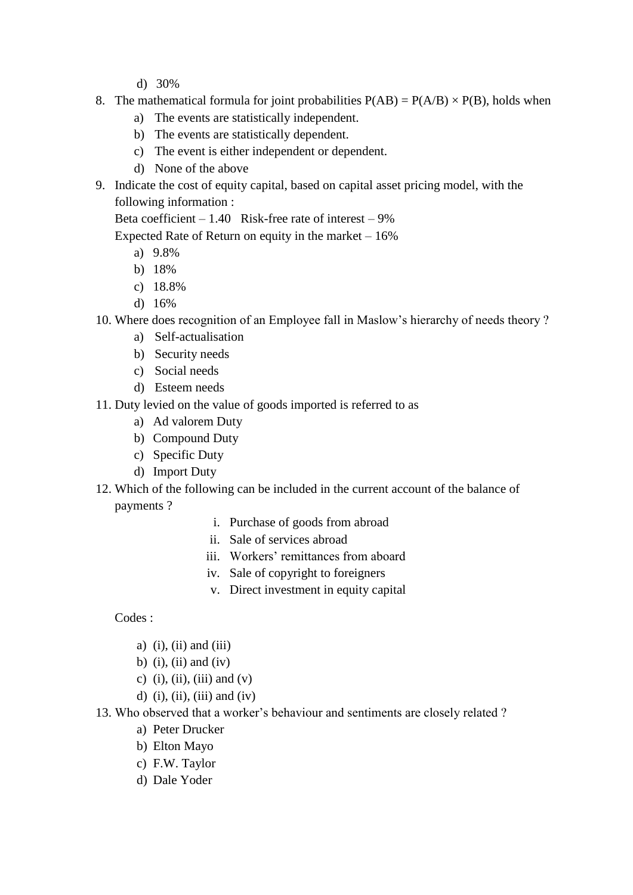- d) 30%
- 8. The mathematical formula for joint probabilities  $P(AB) = P(A/B) \times P(B)$ , holds when
	- a) The events are statistically independent.
	- b) The events are statistically dependent.
	- c) The event is either independent or dependent.
	- d) None of the above
- 9. Indicate the cost of equity capital, based on capital asset pricing model, with the following information :

Beta coefficient  $-1.40$  Risk-free rate of interest  $-9\%$ 

Expected Rate of Return on equity in the market  $-16\%$ 

- a) 9.8%
- b) 18%
- c) 18.8%
- d) 16%
- 10. Where does recognition of an Employee fall in Maslow's hierarchy of needs theory ?
	- a) Self-actualisation
	- b) Security needs
	- c) Social needs
	- d) Esteem needs
- 11. Duty levied on the value of goods imported is referred to as
	- a) Ad valorem Duty
	- b) Compound Duty
	- c) Specific Duty
	- d) Import Duty
- 12. Which of the following can be included in the current account of the balance of payments ?
	- i. Purchase of goods from abroad
	- ii. Sale of services abroad
	- iii. Workers' remittances from aboard
	- iv. Sale of copyright to foreigners
	- v. Direct investment in equity capital

Codes :

- a)  $(i)$ ,  $(ii)$  and  $(iii)$
- b) (i), (ii) and (iv)
- c) (i), (ii), (iii) and (v)
- d) (i), (ii), (iii) and (iv)
- 13. Who observed that a worker's behaviour and sentiments are closely related ?
	- a) Peter Drucker
	- b) Elton Mayo
	- c) F.W. Taylor
	- d) Dale Yoder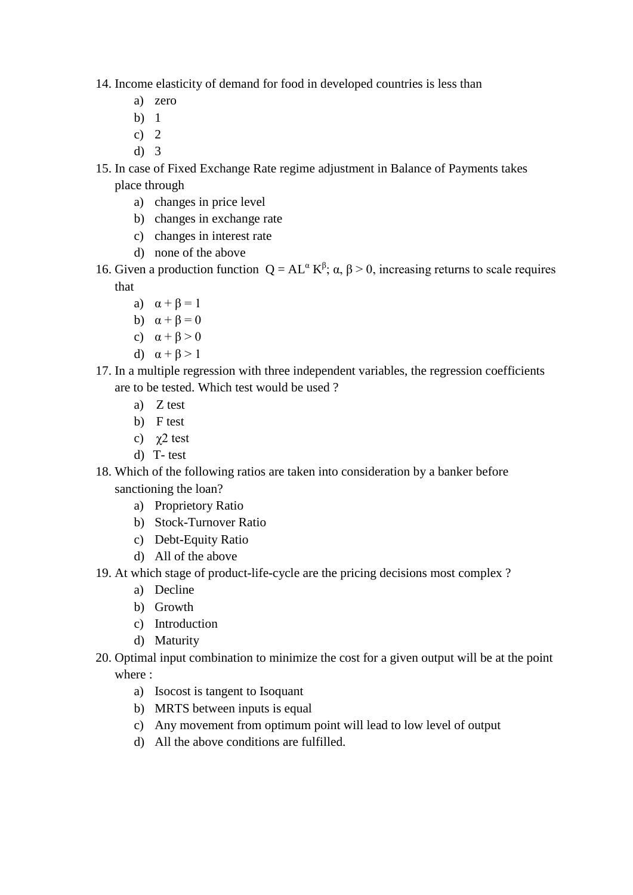- 14. Income elasticity of demand for food in developed countries is less than
	- a) zero
	- b) 1
	- c)  $2$
	- d) 3
- 15. In case of Fixed Exchange Rate regime adjustment in Balance of Payments takes place through
	- a) changes in price level
	- b) changes in exchange rate
	- c) changes in interest rate
	- d) none of the above
- 16. Given a production function  $Q = AL^{\alpha} K^{\beta}$ ; α,  $\beta > 0$ , increasing returns to scale requires that
	- a)  $\alpha + \beta = 1$
	- b)  $\alpha + \beta = 0$
	- c)  $\alpha + \beta > 0$
	- d)  $\alpha + \beta > 1$
- 17. In a multiple regression with three independent variables, the regression coefficients are to be tested. Which test would be used ?
	- a) Z test
	- b) F test
	- c) χ2 test
	- d) T- test
- 18. Which of the following ratios are taken into consideration by a banker before sanctioning the loan?
	- a) Proprietory Ratio
	- b) Stock-Turnover Ratio
	- c) Debt-Equity Ratio
	- d) All of the above
- 19. At which stage of product-life-cycle are the pricing decisions most complex ?
	- a) Decline
	- b) Growth
	- c) Introduction
	- d) Maturity
- 20. Optimal input combination to minimize the cost for a given output will be at the point where :
	- a) Isocost is tangent to Isoquant
	- b) MRTS between inputs is equal
	- c) Any movement from optimum point will lead to low level of output
	- d) All the above conditions are fulfilled.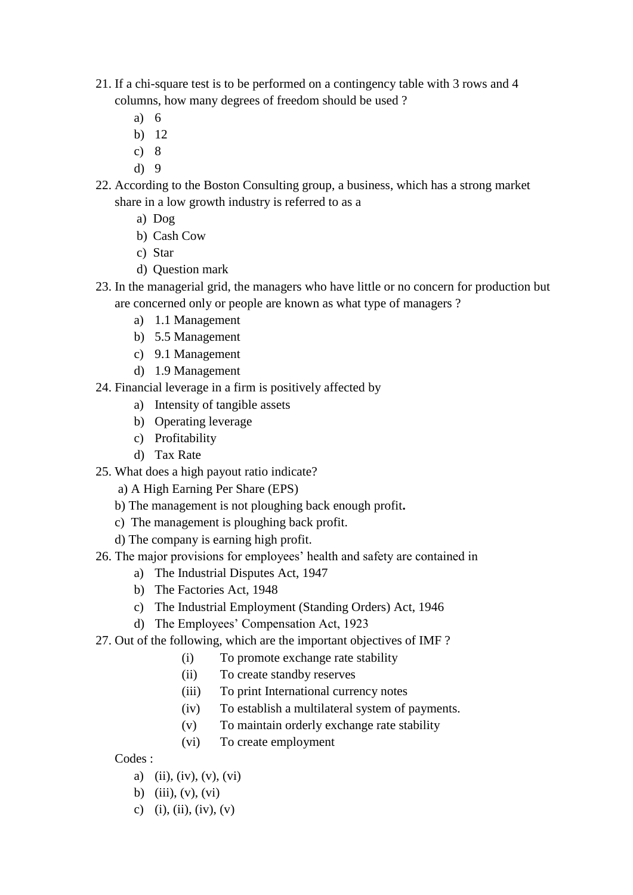- 21. If a chi-square test is to be performed on a contingency table with 3 rows and 4 columns, how many degrees of freedom should be used ?
	- a) 6
	- b) 12
	- c) 8
	- d) 9
- 22. According to the Boston Consulting group, a business, which has a strong market share in a low growth industry is referred to as a
	- a) Dog
	- b) Cash Cow
	- c) Star
	- d) Question mark
- 23. In the managerial grid, the managers who have little or no concern for production but are concerned only or people are known as what type of managers ?
	- a) 1.1 Management
	- b) 5.5 Management
	- c) 9.1 Management
	- d) 1.9 Management
- 24. Financial leverage in a firm is positively affected by
	- a) Intensity of tangible assets
	- b) Operating leverage
	- c) Profitability
	- d) Tax Rate
- 25. What does a high payout ratio indicate?
	- a) A High Earning Per Share (EPS)
	- b) The management is not ploughing back enough profit**.**
	- c) The management is ploughing back profit.
	- d) The company is earning high profit.
- 26. The major provisions for employees' health and safety are contained in
	- a) The Industrial Disputes Act, 1947
	- b) The Factories Act, 1948
	- c) The Industrial Employment (Standing Orders) Act, 1946
	- d) The Employees' Compensation Act, 1923
- 27. Out of the following, which are the important objectives of IMF ?
	- (i) To promote exchange rate stability
	- (ii) To create standby reserves
	- (iii) To print International currency notes
	- (iv) To establish a multilateral system of payments.
	- (v) To maintain orderly exchange rate stability
	- (vi) To create employment

Codes :

- a) (ii), (iv), (v), (vi)
- b) (iii),  $(v)$ ,  $(vi)$
- c) (i), (ii), (iv), (v)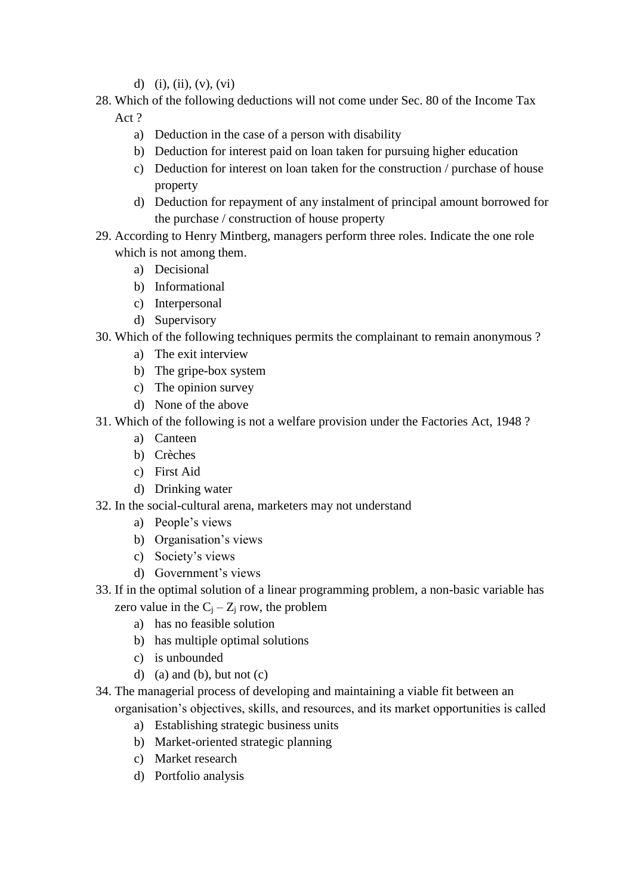- d) (i), (ii), (v), (vi)
- 28. Which of the following deductions will not come under Sec. 80 of the Income Tax Act ?
	- a) Deduction in the case of a person with disability
	- b) Deduction for interest paid on loan taken for pursuing higher education
	- c) Deduction for interest on loan taken for the construction / purchase of house property
	- d) Deduction for repayment of any instalment of principal amount borrowed for the purchase / construction of house property
- 29. According to Henry Mintberg, managers perform three roles. Indicate the one role which is not among them.
	- a) Decisional
	- b) Informational
	- c) Interpersonal
	- d) Supervisory
- 30. Which of the following techniques permits the complainant to remain anonymous ?
	- a) The exit interview
	- b) The gripe-box system
	- c) The opinion survey
	- d) None of the above
- 31. Which of the following is not a welfare provision under the Factories Act, 1948 ?
	- a) Canteen
	- b) Crèches
	- c) First Aid
	- d) Drinking water
- 32. In the social-cultural arena, marketers may not understand
	- a) People's views
	- b) Organisation's views
	- c) Society's views
	- d) Government's views
- 33. If in the optimal solution of a linear programming problem, a non-basic variable has zero value in the  $C_i - Z_i$  row, the problem
	- a) has no feasible solution
	- b) has multiple optimal solutions
	- c) is unbounded
	- d) (a) and (b), but not  $(c)$
- 34. The managerial process of developing and maintaining a viable fit between an organisation's objectives, skills, and resources, and its market opportunities is called
	- a) Establishing strategic business units
	- b) Market-oriented strategic planning
	- c) Market research
	- d) Portfolio analysis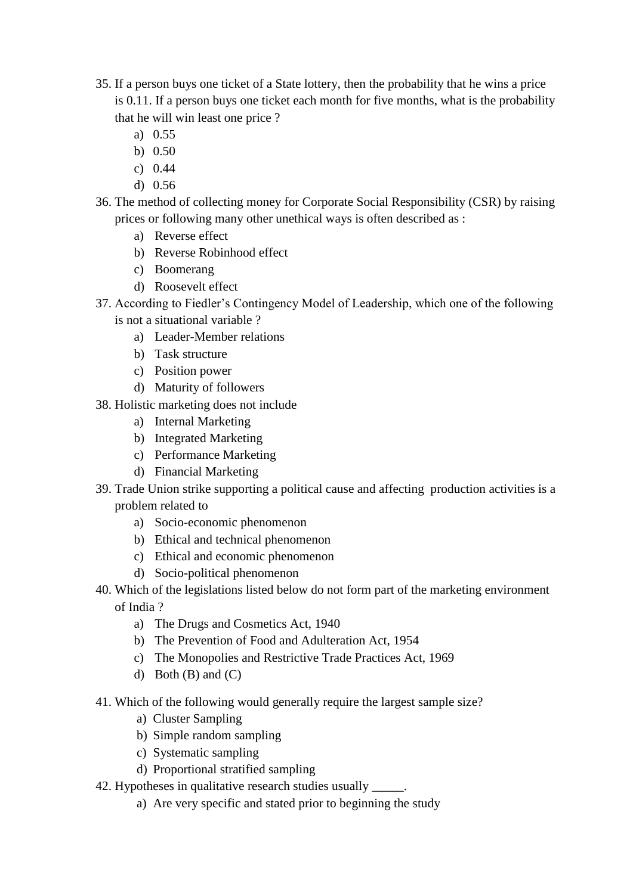- 35. If a person buys one ticket of a State lottery, then the probability that he wins a price is 0.11. If a person buys one ticket each month for five months, what is the probability that he will win least one price ?
	- a) 0.55
	- b) 0.50
	- c) 0.44
	- d) 0.56
- 36. The method of collecting money for Corporate Social Responsibility (CSR) by raising prices or following many other unethical ways is often described as :
	- a) Reverse effect
	- b) Reverse Robinhood effect
	- c) Boomerang
	- d) Roosevelt effect
- 37. According to Fiedler's Contingency Model of Leadership, which one of the following is not a situational variable ?
	- a) Leader-Member relations
	- b) Task structure
	- c) Position power
	- d) Maturity of followers
- 38. Holistic marketing does not include
	- a) Internal Marketing
	- b) Integrated Marketing
	- c) Performance Marketing
	- d) Financial Marketing
- 39. Trade Union strike supporting a political cause and affecting production activities is a problem related to
	- a) Socio-economic phenomenon
	- b) Ethical and technical phenomenon
	- c) Ethical and economic phenomenon
	- d) Socio-political phenomenon
- 40. Which of the legislations listed below do not form part of the marketing environment of India ?
	- a) The Drugs and Cosmetics Act, 1940
	- b) The Prevention of Food and Adulteration Act, 1954
	- c) The Monopolies and Restrictive Trade Practices Act, 1969
	- d) Both  $(B)$  and  $(C)$
- 41. Which of the following would generally require the largest sample size?
	- a) Cluster Sampling
	- b) Simple random sampling
	- c) Systematic sampling
	- d) Proportional stratified sampling
- 42. Hypotheses in qualitative research studies usually  $\qquad$ .
	- a) Are very specific and stated prior to beginning the study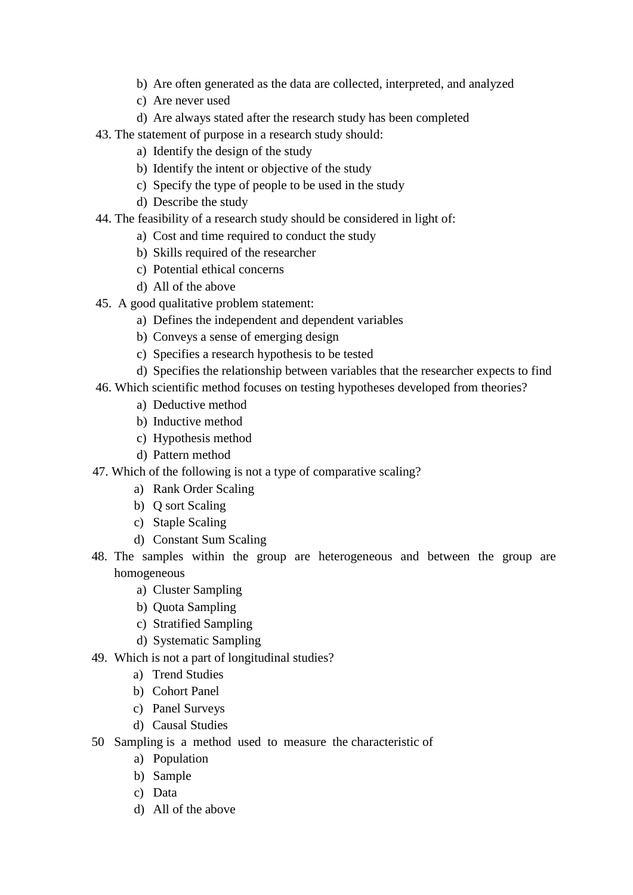- b) Are often generated as the data are collected, interpreted, and analyzed
- c) Are never used
- d) Are always stated after the research study has been completed
- 43. The statement of purpose in a research study should:
	- a) Identify the design of the study
	- b) Identify the intent or objective of the study
	- c) Specify the type of people to be used in the study
	- d) Describe the study
- 44. The feasibility of a research study should be considered in light of:
	- a) Cost and time required to conduct the study
	- b) Skills required of the researcher
	- c) Potential ethical concerns
	- d) All of the above
- 45. A good qualitative problem statement:
	- a) Defines the independent and dependent variables
	- b) Conveys a sense of emerging design
	- c) Specifies a research hypothesis to be tested
	- d) Specifies the relationship between variables that the researcher expects to find
- 46. Which scientific method focuses on testing hypotheses developed from theories?
	- a) Deductive method
	- b) Inductive method
	- c) Hypothesis method
	- d) Pattern method
- 47. Which of the following is not a type of comparative scaling?
	- a) Rank Order Scaling
	- b) Q sort Scaling
	- c) Staple Scaling
	- d) Constant Sum Scaling
- 48. The samples within the group are heterogeneous and between the group are homogeneous
	- a) Cluster Sampling
	- b) Quota Sampling
	- c) Stratified Sampling
	- d) Systematic Sampling
- 49. Which is not a part of longitudinal studies?
	- a) Trend Studies
	- b) Cohort Panel
	- c) Panel Surveys
	- d) Causal Studies
- 50 Sampling is a method used to measure the characteristic of
	- a) Population
	- b) Sample
	- c) Data
	- d) All of the above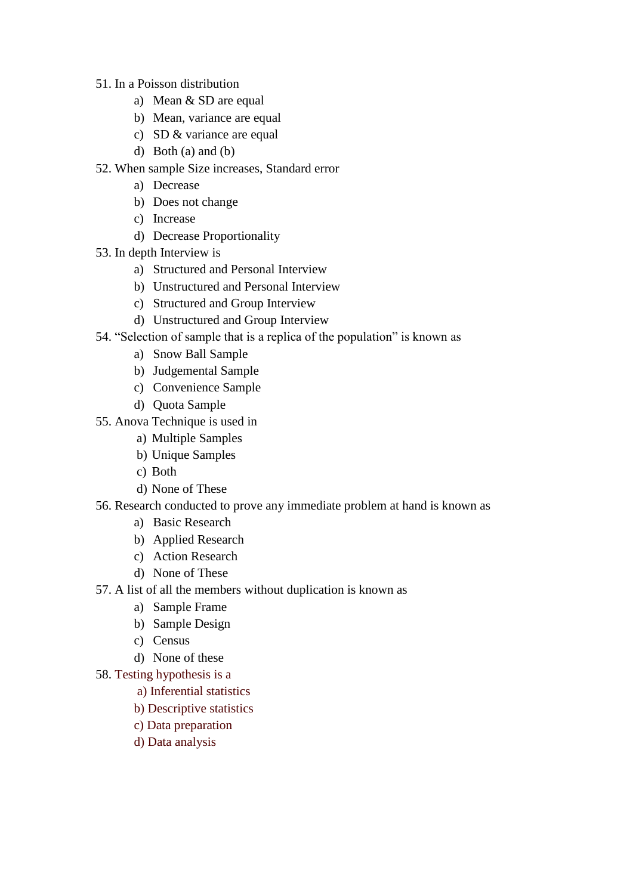- 51. In a Poisson distribution
	- a) Mean & SD are equal
	- b) Mean, variance are equal
	- c) SD & variance are equal
	- d) Both (a) and (b)
- 52. When sample Size increases, Standard error
	- a) Decrease
	- b) Does not change
	- c) Increase
	- d) Decrease Proportionality
- 53. In depth Interview is
	- a) Structured and Personal Interview
	- b) Unstructured and Personal Interview
	- c) Structured and Group Interview
	- d) Unstructured and Group Interview
- 54. "Selection of sample that is a replica of the population" is known as
	- a) Snow Ball Sample
	- b) Judgemental Sample
	- c) Convenience Sample
	- d) Quota Sample
- 55. Anova Technique is used in
	- a) Multiple Samples
	- b) Unique Samples
	- c) Both
	- d) None of These
- 56. Research conducted to prove any immediate problem at hand is known as
	- a) Basic Research
	- b) Applied Research
	- c) Action Research
	- d) None of These
- 57. A list of all the members without duplication is known as
	- a) Sample Frame
	- b) Sample Design
	- c) Census
	- d) None of these
- 58. Testing hypothesis is a
	- a) Inferential statistics
	- b) Descriptive statistics
	- c) Data preparation
	- d) Data analysis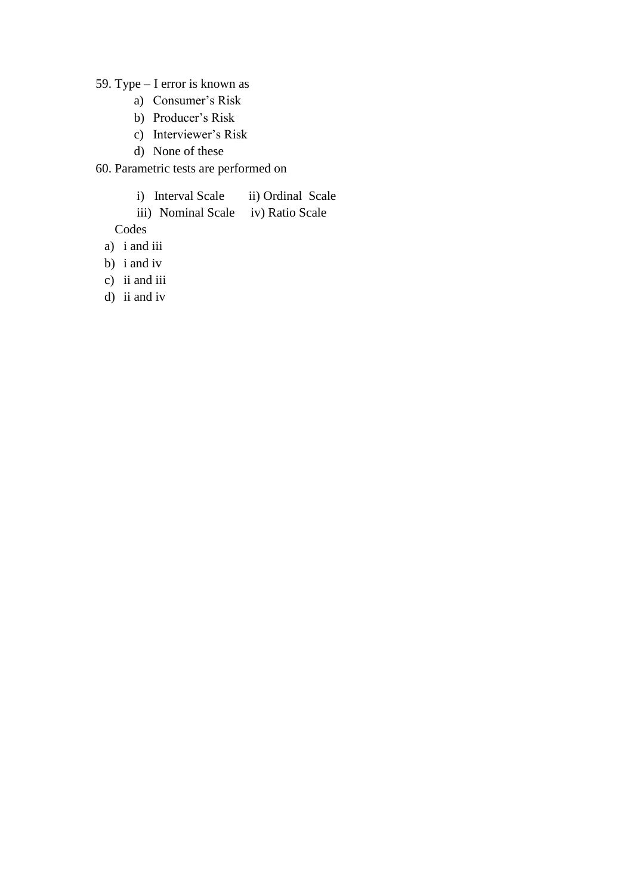59. Type – I error is known as

- a) Consumer's Risk
- b) Producer's Risk
- c) Interviewer's Risk
- d) None of these

60. Parametric tests are performed on

- i) Interval Scale ii) Ordinal Scale
- iii) Nominal Scale iv) Ratio Scale

Codes

- a) i and iii
- b) i and iv
- c) ii and iii
- d) ii and iv